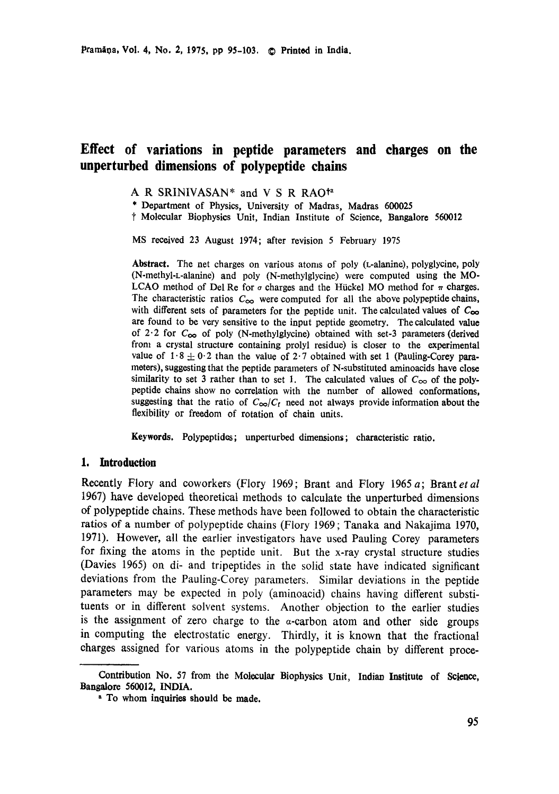# **Effect of variations in peptide parameters and charges on the unperturbed dimensions of polypeptide chains**

A R SRINIVASAN\* and V S R RAO<sup>ta</sup>

\* Department of Physics, University of Madras, Madras 600025

t Molecular Biophysics Unit, Indian Institute of Science, Bangalore 560012

MS received 23 August 1974; after revision 5 February 1975

**Abstract.** The net charges on various atoms of poly (L-alanine), polyglycine, poly (N-methyl-L-alanine) and poly (N-mothylglycine) were computed using the MO-LCAO method of Del Re for  $\sigma$  charges and the Hückel MO method for  $\pi$  charges. The characteristic ratios  $C_{\infty}$  were computed for all the above polypeptide chains, with different sets of parameters for the peptide unit. The calculated values of **Coo**  are found to be very sensitive to the input peptide geometry. The calculated value of  $2.2$  for  $C_{\infty}$  of poly (N-methylglycine) obtained with set-3 parameters (derived from a crystal structure containing prolyl residue) is closer to the experimental value of  $1.8 \pm 0.2$  than the value of  $2.7$  obtained with set 1 (Pauling-Corey parameters), suggesting that the peptide parameters of N-substituted aminoacids have close similarity to set 3 rather than to set 1. The calculated values of  $C_{\infty}$  of the polypeptide chains show no correlation with the number of allowed conformations, suggesting that the ratio of  $C_{\infty}/C_f$  need not always provide information about the flexibility or freedom of rotation of chain units.

**Keywords.** Polypeptides; unperturbed dimensions; characteristic ratio.

### **1. Introduction**

Recently Flory and coworkers (Flory 1969; Brant and Flory 1965 a; Brant et al 1967) have developed theoretical methods to calculate the unperturbed dimensions of polypeptide chains. These methods have been followed to obtain the characteristic ratios of a number of polypeptide chains (Flory 1969; Tanaka and Nakajima 1970, 1971). However, all the earlier investigators have used Pauling Corey parameters for fixing the atoms in the peptide unit. But the x-ray crystal structure studies (Davies 1965) on di- and tripeptides in the solid state have indicated significant deviations from the Pauling-Corey parameters. Similar deviations in the peptide parameters may be expected in poly (aminoacid) chains having different substituents or in different solvent systems. Another objection to the earlier studies is the assignment of zero charge to the  $\alpha$ -carbon atom and other side groups in computing the electrostatic energy. Thirdly, it is known that the fractional charges assigned for various atoms in the polypeptide chain by different proce-

Contribution No. 57 from the Molecular Biophysics Unit, Indian Institute of Science, Bangaloro 560012, INDIA.

**a To whom inquiries should be made.**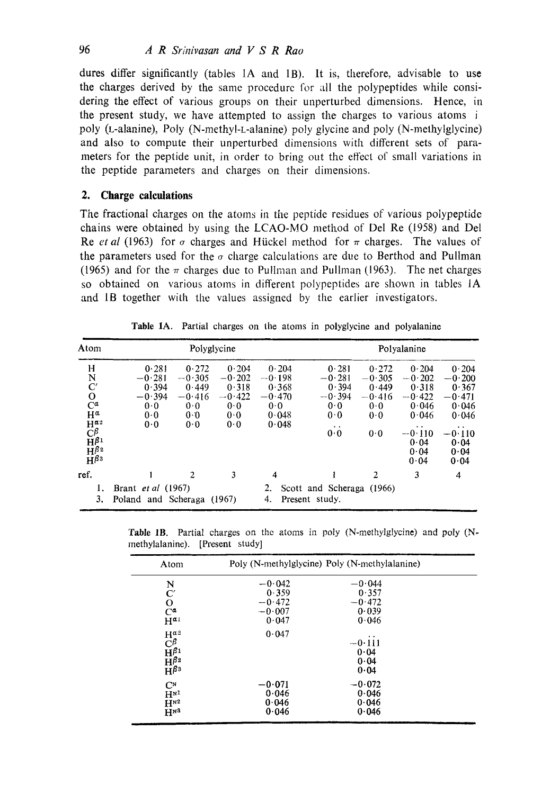dures differ significantly (tables 1A and 1B). It is, therefore, advisable to use the charges derived by the same procedure for all the polypeptides while considering the effect of various groups on their unperturbed dimensions. Hence, in the present study, we have attempted to assign the charges to various atoms i poly (L-alanine), Poly (N-methyl-L-alanine) poly glycine and poly (N-methylglycine) and also to compute their unperturbed dimensions with different sets of parameters for the peptide unit, in order to bring out the effect of small variations in the peptide parameters and charges on their dimensions.

### **2. Charge calculations**

The fractional charges on the atoms in the peptide residues of various polypeptide chains were obtained by using the LCAO-MO metkod of Del Re (1958) and Del Re *et al* (1963) for  $\sigma$  charges and Hückel method for  $\pi$  charges. The values of the parameters used for the  $\sigma$  charge calculations are due to Berthod and Pullman (1965) and for the  $\pi$  charges due to Pullman and Pullman (1963). The net charges so obtained on various atoms in different polypeptides are shown in tables IA and IB together with the values assigned by the earlier investigators.

| Atom                                                                                                                                                            |                                                             | Polyglycine                                                 |                                                             |                                                                 |                                                                                    |                                                             | Polvalanine                                                                                                     |                                                                                                         |
|-----------------------------------------------------------------------------------------------------------------------------------------------------------------|-------------------------------------------------------------|-------------------------------------------------------------|-------------------------------------------------------------|-----------------------------------------------------------------|------------------------------------------------------------------------------------|-------------------------------------------------------------|-----------------------------------------------------------------------------------------------------------------|---------------------------------------------------------------------------------------------------------|
| H<br>$\rm{N \atop C'}$<br>$C^{\alpha}$<br>$H^a$<br>$H^{\alpha}$ <sup>2</sup><br>$\mathrm{C}^{\beta}$<br>$\tilde{H}^{\beta 1}$<br>$H^{\beta_2}$<br>$H^{\beta_3}$ | 0.281<br>$-0.281$<br>0.394<br>$-0.394$<br>0.0<br>0.0<br>0.0 | 0.272<br>$-0.305$<br>0.449<br>$-0.416$<br>0.0<br>0.0<br>0.0 | 0.204<br>$-0.202$<br>0.318<br>$-0.422$<br>0.0<br>0.0<br>0.0 | 0.204<br>$-0.198$<br>0.368<br>$-0.470$<br>0.0<br>0.048<br>0.048 | 0.281<br>$-0.281$<br>0.394<br>$-0.394$<br>0.0<br>0.0<br>$\bullet$ $\bullet$<br>0.0 | 0.272<br>$-0.305$<br>0.449<br>$-0.416$<br>0.0<br>0.0<br>0.0 | 0.204<br>$-0.202$<br>0.318<br>$-0.422$<br>0.046<br>0.046<br>$\cdot$ $\cdot$<br>$-0.110$<br>0.04<br>0.04<br>0.04 | 0.204<br>$-0.200$<br>0.367<br>$-0.471$<br>0.046<br>0.046<br>$\cdot$<br>$-0.110$<br>0.04<br>0.04<br>0.04 |
| ref.<br>1.<br>3.                                                                                                                                                | Brant <i>et al</i> (1967)<br>Poland and Scheraga            | $\overline{c}$                                              | 3<br>(1967)                                                 | 4<br>2.<br>4.                                                   | Scott and Scheraga (1966)<br>Present study.                                        | $\overline{2}$                                              | 3                                                                                                               | 4                                                                                                       |

Table 1A. Partial charges on the atoms in polyglycine and polyalanine

Table lB. Partial charges on the atoms in poly (N-methylglycine) and poly (Nmethylalanine). [Present study]

| Atom                                                                                                                     | Poly (N-methylglycine) Poly (N-methylalanine)      |                                                 |  |  |
|--------------------------------------------------------------------------------------------------------------------------|----------------------------------------------------|-------------------------------------------------|--|--|
| N<br>$\mathbf{C}'$<br>$\overline{C}^{\alpha}$<br>$H^{\alpha_1}$                                                          | $-0.042$<br>0.359<br>$-0.472$<br>$-0.007$<br>0.047 | $-0.044$<br>0.357<br>$-0.472$<br>0.039<br>0.046 |  |  |
| $H^{\alpha}$ <sup>2</sup><br>$\widetilde{C}_{\mathbf{H}^{\beta_1}}^{\beta_2}$<br>$H^{\beta_2}$<br>$\overline{H}^{\beta}$ | 0.047                                              | . .<br>$-0.111$<br>0.04<br>0.04<br>0.04         |  |  |
| $C^{N}$<br>$H^{N1}$<br>H <sup>2</sup><br>H <sub>N3</sub>                                                                 | $-0.071$<br>0.046<br>0.046<br>0.046                | $-0.072$<br>0.046<br>0.046<br>0.046             |  |  |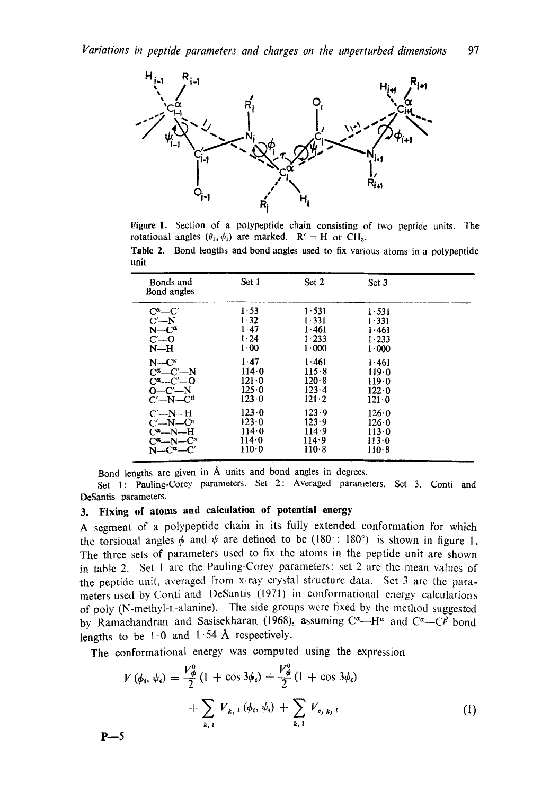

**Figure** I. Section of a polypeptide chain consisting of two peptide units. The rotational angles  $(\theta_i, \psi_i)$  are marked.  $R' = H$  or CH<sub>3</sub>.

**Table** 2. Bond lengths and bond angles used to fix various atoms in a polypeptide unit

| Bonds and<br>Bond angles      | Set 1         | Set 2         | Set 3         |  |
|-------------------------------|---------------|---------------|---------------|--|
| $C^{\alpha}$ — $C^{\prime}$   | 1.53          | 1.531         | 1.531         |  |
| $C' - N$                      | 1.32          | 1.331         | $1 - 331$     |  |
| $N-C^{\alpha}$                | $1 - 47$      | 1.461         | 1.461         |  |
| $C'$ - $O$                    | $1 - 24$      | 1.233         | $1 - 233$     |  |
| $N-H$                         | 1.00          | 1.000         | 1.000         |  |
| $N-CN$                        | 1.47          | 1.461         | 1.461         |  |
| $C^{\alpha}$ — $C'$ —N        | 114.0         | 115.8         | 119.0         |  |
| $C^{\alpha}$ -- $C'$ --0      | $121 - 0$     | 120.8         | 119.0         |  |
| $O - C' - N$                  | $125 \cdot 0$ | 123.4         | $122 \cdot 0$ |  |
| $C'$ -N- $C^a$                | $123 \cdot 0$ | $121 \cdot 2$ | $121 \cdot 0$ |  |
| $C'$ —N—H                     | 123.0         | 123.9         | 126.0         |  |
| $C'$ —N— $CN$                 | 123.0         | 123.9         | 126.0         |  |
| $C^a - N - H$                 | 114.0         | 114.9         | 113.0         |  |
| $C^{\alpha}$ -N- $C^{\alpha}$ | 114.0         | 114.9         | 113.0         |  |
| $N = C^{\alpha} - C^{\prime}$ | $110-0$       | $110-8$       | 110-8         |  |

Bond lengths are given in A units and bond angles in degrees.

Set 1: Pauling-Corey parameters. Set 2: Averaged parameters. Set 3. Conti and DeSantis parameters.

## **3. Fixing of atoms and calculation of potential energy**

A segment of a polypeptide chain in its fully extended conformation for which the torsional angles  $\phi$  and  $\psi$  are defined to be (180°: 180°) is shown in figure 1. The three sets of parameters used to fix the atoms in the peptide unit are shown in table 2. Set 1 are the Pauling-Corey parameters; set 2 are the mean values of the peptide unit, averaged from x-ray crystal structurc data. Set 3 are the parameters used by Conti and DeSantis (1971) in conformational energy calculations of poly (N-methyl-t-alanine). The side groups were fixed by the method suggested by Ramachandran and Sasisekharan (1968), assuming  $C^{\alpha}$ --H<sup>a</sup> and  $C^{\alpha}$ --C $\beta$  bond lengths to be  $1.0$  and  $1.54$  Å respectively.

The conformational energy was computed using the expression

$$
V(\phi_i, \psi_i) = \frac{V_{\phi}^0}{2} (1 + \cos 3\phi_i) + \frac{V_{\phi}^0}{2} (1 + \cos 3\phi_i) + \sum_{k, l} V_{k, l} (\phi_i, \psi_i) + \sum_{k, l} V_{c, k, l} \tag{1}
$$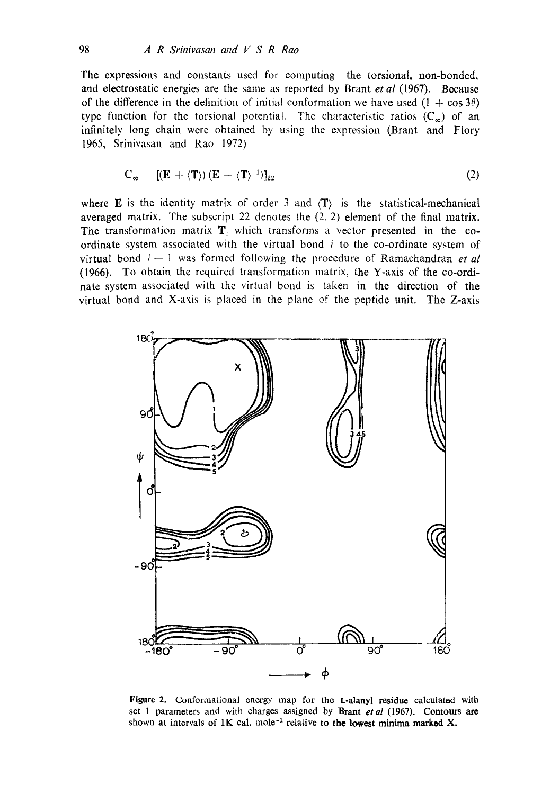The expressions and constants used for computing the torsional, non-bonded, and electrostatic energies are the same as reported by Brant *et al* (1967). Because of the difference in the definition of initial conformation we have used  $(1 + \cos 3\theta)$ type function for the torsional potential. The characteristic ratios  $(C_{\infty})$  of an infinitely long chain were obtained by using the expression (Brant and Flory 1965, Srinivasan and Rao 1972)

$$
C_{\infty} = \left[ (E + \langle T \rangle) \left( E - \langle T \rangle^{-1} \right) \right]_{22} \tag{2}
$$

where **E** is the identity matrix of order 3 and  $\langle T \rangle$  is the statistical-mechanical averaged matrix. The subscript 22 denotes the (2, 2) element of the final matrix. The transformation matrix  $\mathbf{T}_i$  which transforms a vector presented in the coordinate system associated with the virtual bond  $i$  to the co-ordinate system of virtual bond  $i-1$  was formed following the procedure of Ramachandran *et al* (1966), To obtain the required transformation matrix, the Y-axis of the co-ordinate system associated with the virtual bond is taken in the direction of the virtual bond and X-axis is placed in the plane of the peptide unit. The Z-axis



Figure 2. Conformational energy map for the L-alanyl residue calculated with set 1 parameters and with charges assigned by Brant *etal* (1967). Contours are shown at intervals of 1K cal. mole<sup>-1</sup> relative to the lowest minima marked X.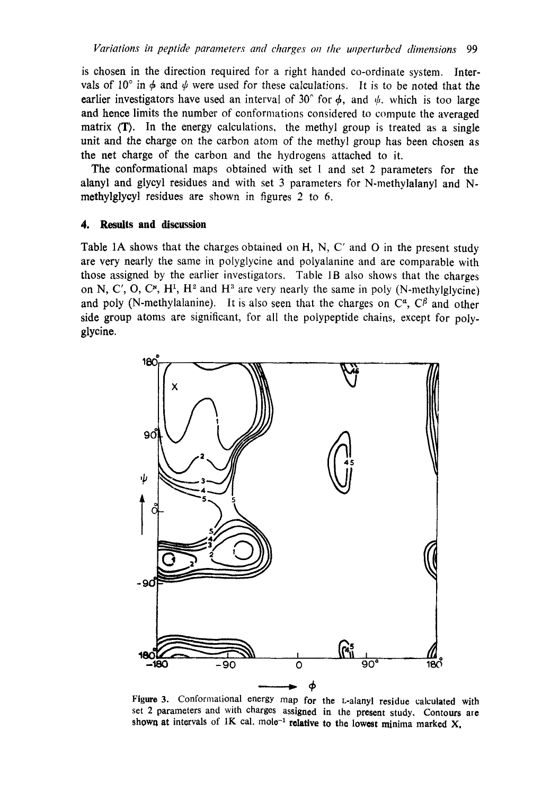is chosen in the direction required for a right handed co-ordinate system. Intervals of 10° in  $\phi$  and  $\psi$  were used for these calculations. It is to be noted that the earlier investigators have used an interval of 30° for  $\phi$ , and  $\psi$ , which is too large and hence limits the number of conformations considered to compute the averaged matrix (T). In the energy calculations, the methyl group is treated as a single unit and the charge on the carbon atom of the methyl group has been chosen as the net charge of the carbon and the hydrogens attached to it.

The conformational maps obtained with set 1 and set 2 parameters for the alanyl and glycyl residues and with set 3 parameters for N-methylalanyl and Nmethylglycyl residues are shown in figures 2 to 6.

### **4. Results and discussion**

Table 1A shows that the charges obtained on H, N, C' and O in the present study are very nearly the same in polyglycine and polyalanine and are comparable with those assigned by the earlier investigators. Table 1B also shows that the charges on N, C', O, C<sup>x</sup>, H<sup>1</sup>, H<sup>2</sup> and H<sup>3</sup> are very nearly the same in poly (N-methylglycine) and poly (N-methylalanine). It is also seen that the charges on  $C^{\alpha}$ ,  $C^{\beta}$  and other side group atoms are significant, for all the polypeptide chains, except for polyglyeine.



Figure 3. Conformational energy map for the L-alanyl residue calculated with set 2 parameters and with charges assigned in the present study. Contours are shown at intervals of 1K cal. mole<sup>-1</sup> relative to the lowest minima marked X,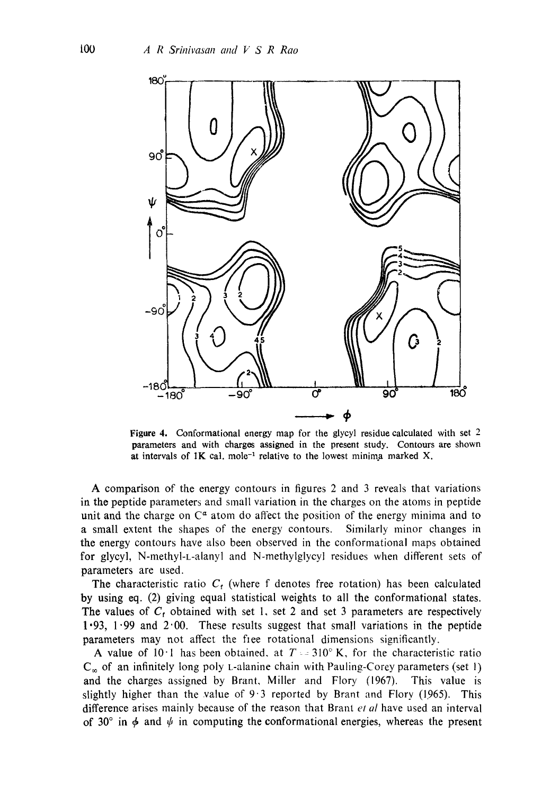

Figure 4. Conformational energy map for the glycyl residue calculated with set  $2$ parameters and with charges assigned in the present study. Contours are shown at intervals of  $1K$  cal. mole<sup>-1</sup> relative to the lowest minima marked X.

A comparison of the energy contours in figures 2 and 3 reveals that variations in the peptide parameters and small variation in the charges on the atoms in peptide unit and the charge on  $\mathbb{C}^{\alpha}$  atom do affect the position of the energy minima and to a small extent the shapes of the energy contours. Similarly minor changes in the energy contours have also been observed in the conformational maps obtained for glycyl, N-methyl-L-alanyl and N-methylglycyl residues when different sets of parameters are used.

The characteristic ratio  $C<sub>f</sub>$  (where f denotes free rotation) has been calculated by using eq. (2) giving equal statistical weights to all the conformational states. The values of  $C_t$  obtained with set 1, set 2 and set 3 parameters are respectively  $1.93$ ,  $1.99$  and  $2.00$ . These results suggest that small variations in the peptide parameters may not affect the free rotational dimensions significantly.

A value of 10 $\cdot$ 1 has been obtained, at T = 310 $\degree$  K, for the characteristic ratio  $C_{\infty}$  of an infinitely long poly L-alanine chain with Pauling-Corey parameters (set 1) and the charges assigned by Brant, Miller and Flory (1967). This value is slightly higher than the value of  $9.3$  reported by Brant and Flory (1965). This difference arises mainly because of the reason that Brant *et al* have used an interval of 30° in  $\phi$  and  $\psi$  in computing the conformational energies, whereas the present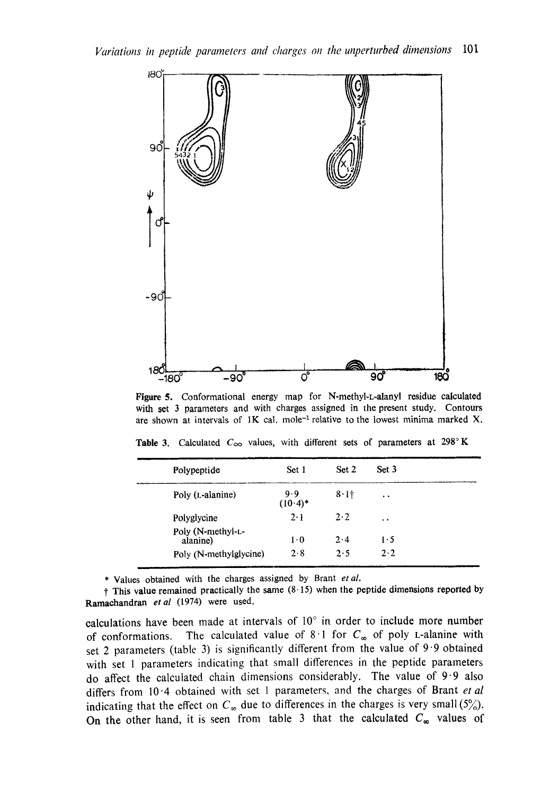

Figure 5. Conformational energy map for N-methyl-L-alanyl residue calculated with set 3 parameters and with charges assigned in the present study. Contours are shown at intervals of  $1K$  cal. mole<sup>-1</sup> relative to the lowest minima marked X.

| Polypeptide                   | Set 1             | Set 2       | Set 3                |
|-------------------------------|-------------------|-------------|----------------------|
| Poly (L-alanine)              | 9.9<br>$(10.4)$ * | 8.11        | $\bullet$            |
| Polyglycine                   | $2 \cdot 1$       | $2 \cdot 2$ | $\ddot{\phantom{1}}$ |
| Poly (N-methyl-L-<br>alanine) | $1 \cdot 0$       | $2 \cdot 4$ | 1.5                  |
| Poly (N-methylglycine)        | 2.8               | 2.5         | $2 \cdot 2$          |

Table 3. Calculated  $C_{\infty}$  values, with different sets of parameters at 298°K

\* Values obtained with the charges assigned by Brant *et al.* 

 $+$  This value remained practically the same (8.15) when the peptide dimensions reported by Ramaehandran *etal* (1974) were used.

calculations have been made at intervals of  $10^{\circ}$  in order to include more number of conformations. The calculated value of  $8 \cdot 1$  for  $C_{\infty}$  of poly L-alanine with set 2 parameters (table 3) is significantly different from the value of 9'9 obtained with set 1 parameters indicating that small differences in the peptide parameters do affect the calculated chain dimensions considerably. The value of  $9.9$  also differs from 10"4 obtained with set 1 parameters, and the charges of Brant *et al*  indicating that the effect on  $C_{\infty}$  due to differences in the charges is very small (5%). On the other hand, it is seen from table 3 that the calculated  $C_{\infty}$  values of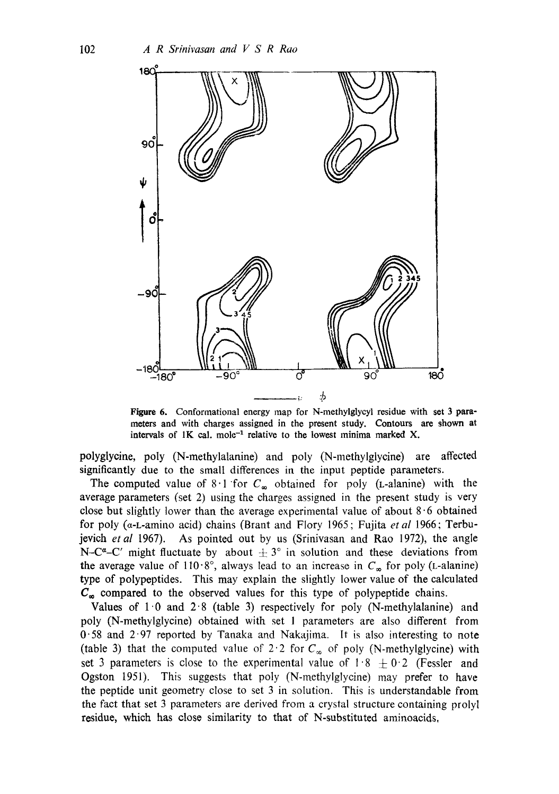

Figure 6. Conformational energy map for N-methylglycyl residue with set 3 parameters and with charges assigned in the present study. Contours are shown at intervals of  $1K$  cal. mole<sup>-1</sup> relative to the lowest minima marked X.

polyglycine, poly (N-methylalanine) and poly (N-methylglycine) are affected significantly due to the small differences in the input peptide parameters.

The computed value of  $8.1$  for  $C_{\infty}$  obtained for poly (L-alanine) with the average parameters (set 2) using the charges assigned in the present study is very close but slightly lower than the average experimental value of about  $8.6$  obtained for poly (a-L-amino acid) chains (Brant and Flory 1965; Fujita *et al* 1966; Terbujevich *etal* 1967). As pointed out by us (Srinivasan and Rao 1972), the angle N-C<sup> $\alpha$ </sup>-C' might fluctuate by about  $\pm 3^\circ$  in solution and these deviations from the average value of 110.8°, always lead to an increase in  $C_{\infty}$  for poly (L-alanine) type of polypeptides. This may explain the slightly lower value of the calculated  $C_{\infty}$  compared to the observed values for this type of polypeptide chains.

Values of  $1 \cdot 0$  and  $2 \cdot 8$  (table 3) respectively for poly (N-methylalanine) and poly (N-methylglycine) obtained with set 1 parameters are also different from 0"58 and 297 reported by Tanaka and Nakajima. It is also interesting to note (table 3) that the computed value of 2.2 for  $C_{\infty}$  of poly (N-methylglycine) with set 3 parameters is close to the experimental value of  $1.8 \pm 0.2$  (Fessler and Ogston 1951). This suggests that poly (N-methylglycine) may prefer to have the peptide unit geometry close to set 3 in solution. This is understandable from the fact that set 3 parameters are derived from a crystal structure containing prolyl residue, which has close similarity to that of N-substituted aminoacids,